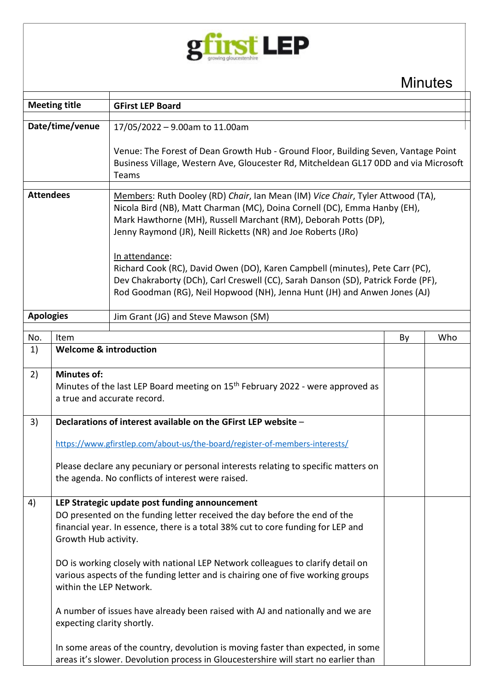

**Minutes** 

| <b>Meeting title</b> |                                                                                                                                                                                                                                                                                                                                                                                                                                                                                                                                                                                                                                                                                                                                     | <b>GFirst LEP Board</b>                                                                                                                                                                                                                                                                                                                                                                                                                                                                                                                                              |    |     |  |
|----------------------|-------------------------------------------------------------------------------------------------------------------------------------------------------------------------------------------------------------------------------------------------------------------------------------------------------------------------------------------------------------------------------------------------------------------------------------------------------------------------------------------------------------------------------------------------------------------------------------------------------------------------------------------------------------------------------------------------------------------------------------|----------------------------------------------------------------------------------------------------------------------------------------------------------------------------------------------------------------------------------------------------------------------------------------------------------------------------------------------------------------------------------------------------------------------------------------------------------------------------------------------------------------------------------------------------------------------|----|-----|--|
| Date/time/venue      |                                                                                                                                                                                                                                                                                                                                                                                                                                                                                                                                                                                                                                                                                                                                     | 17/05/2022 - 9.00am to 11.00am                                                                                                                                                                                                                                                                                                                                                                                                                                                                                                                                       |    |     |  |
|                      |                                                                                                                                                                                                                                                                                                                                                                                                                                                                                                                                                                                                                                                                                                                                     | Venue: The Forest of Dean Growth Hub - Ground Floor, Building Seven, Vantage Point<br>Business Village, Western Ave, Gloucester Rd, Mitcheldean GL17 0DD and via Microsoft<br>Teams                                                                                                                                                                                                                                                                                                                                                                                  |    |     |  |
| <b>Attendees</b>     |                                                                                                                                                                                                                                                                                                                                                                                                                                                                                                                                                                                                                                                                                                                                     | Members: Ruth Dooley (RD) Chair, Ian Mean (IM) Vice Chair, Tyler Attwood (TA),<br>Nicola Bird (NB), Matt Charman (MC), Doina Cornell (DC), Emma Hanby (EH),<br>Mark Hawthorne (MH), Russell Marchant (RM), Deborah Potts (DP),<br>Jenny Raymond (JR), Neill Ricketts (NR) and Joe Roberts (JRo)<br>In attendance:<br>Richard Cook (RC), David Owen (DO), Karen Campbell (minutes), Pete Carr (PC),<br>Dev Chakraborty (DCh), Carl Creswell (CC), Sarah Danson (SD), Patrick Forde (PF),<br>Rod Goodman (RG), Neil Hopwood (NH), Jenna Hunt (JH) and Anwen Jones (AJ) |    |     |  |
| <b>Apologies</b>     |                                                                                                                                                                                                                                                                                                                                                                                                                                                                                                                                                                                                                                                                                                                                     | Jim Grant (JG) and Steve Mawson (SM)                                                                                                                                                                                                                                                                                                                                                                                                                                                                                                                                 |    |     |  |
|                      |                                                                                                                                                                                                                                                                                                                                                                                                                                                                                                                                                                                                                                                                                                                                     |                                                                                                                                                                                                                                                                                                                                                                                                                                                                                                                                                                      |    |     |  |
| No.                  | Item<br><b>Welcome &amp; introduction</b>                                                                                                                                                                                                                                                                                                                                                                                                                                                                                                                                                                                                                                                                                           |                                                                                                                                                                                                                                                                                                                                                                                                                                                                                                                                                                      | By | Who |  |
| 1)                   |                                                                                                                                                                                                                                                                                                                                                                                                                                                                                                                                                                                                                                                                                                                                     |                                                                                                                                                                                                                                                                                                                                                                                                                                                                                                                                                                      |    |     |  |
| 2)                   | <b>Minutes of:</b><br>Minutes of the last LEP Board meeting on 15 <sup>th</sup> February 2022 - were approved as<br>a true and accurate record.                                                                                                                                                                                                                                                                                                                                                                                                                                                                                                                                                                                     |                                                                                                                                                                                                                                                                                                                                                                                                                                                                                                                                                                      |    |     |  |
| 3)                   |                                                                                                                                                                                                                                                                                                                                                                                                                                                                                                                                                                                                                                                                                                                                     | Declarations of interest available on the GFirst LEP website -                                                                                                                                                                                                                                                                                                                                                                                                                                                                                                       |    |     |  |
|                      | https://www.gfirstlep.com/about-us/the-board/register-of-members-interests/<br>Please declare any pecuniary or personal interests relating to specific matters on<br>the agenda. No conflicts of interest were raised.                                                                                                                                                                                                                                                                                                                                                                                                                                                                                                              |                                                                                                                                                                                                                                                                                                                                                                                                                                                                                                                                                                      |    |     |  |
| 4)                   | LEP Strategic update post funding announcement<br>DO presented on the funding letter received the day before the end of the<br>financial year. In essence, there is a total 38% cut to core funding for LEP and<br>Growth Hub activity.<br>DO is working closely with national LEP Network colleagues to clarify detail on<br>various aspects of the funding letter and is chairing one of five working groups<br>within the LEP Network.<br>A number of issues have already been raised with AJ and nationally and we are<br>expecting clarity shortly.<br>In some areas of the country, devolution is moving faster than expected, in some<br>areas it's slower. Devolution process in Gloucestershire will start no earlier than |                                                                                                                                                                                                                                                                                                                                                                                                                                                                                                                                                                      |    |     |  |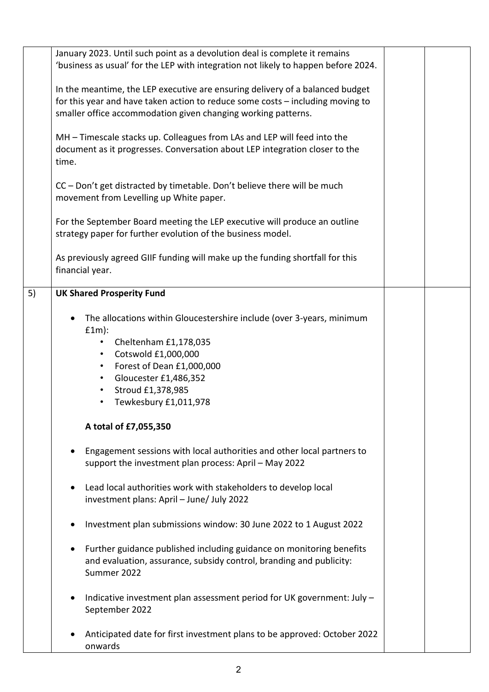|    | January 2023. Until such point as a devolution deal is complete it remains<br>'business as usual' for the LEP with integration not likely to happen before 2024.                                                                                                                           |  |  |
|----|--------------------------------------------------------------------------------------------------------------------------------------------------------------------------------------------------------------------------------------------------------------------------------------------|--|--|
|    | In the meantime, the LEP executive are ensuring delivery of a balanced budget<br>for this year and have taken action to reduce some costs - including moving to<br>smaller office accommodation given changing working patterns.                                                           |  |  |
|    | MH - Timescale stacks up. Colleagues from LAs and LEP will feed into the<br>document as it progresses. Conversation about LEP integration closer to the<br>time.                                                                                                                           |  |  |
|    | CC - Don't get distracted by timetable. Don't believe there will be much<br>movement from Levelling up White paper.                                                                                                                                                                        |  |  |
|    | For the September Board meeting the LEP executive will produce an outline<br>strategy paper for further evolution of the business model.                                                                                                                                                   |  |  |
|    | As previously agreed GIIF funding will make up the funding shortfall for this<br>financial year.                                                                                                                                                                                           |  |  |
| 5) | <b>UK Shared Prosperity Fund</b>                                                                                                                                                                                                                                                           |  |  |
|    | The allocations within Gloucestershire include (over 3-years, minimum<br>$f1m$ :<br>Cheltenham £1,178,035<br>$\bullet$<br>Cotswold £1,000,000<br>٠<br>Forest of Dean £1,000,000<br>$\bullet$<br>Gloucester £1,486,352<br>$\bullet$<br>Stroud £1,378,985<br>٠<br>Tewkesbury £1,011,978<br>٠ |  |  |
|    | A total of £7,055,350                                                                                                                                                                                                                                                                      |  |  |
|    | Engagement sessions with local authorities and other local partners to<br>support the investment plan process: April - May 2022                                                                                                                                                            |  |  |
|    | Lead local authorities work with stakeholders to develop local<br>٠<br>investment plans: April - June/ July 2022                                                                                                                                                                           |  |  |
|    | Investment plan submissions window: 30 June 2022 to 1 August 2022                                                                                                                                                                                                                          |  |  |
|    | Further guidance published including guidance on monitoring benefits<br>and evaluation, assurance, subsidy control, branding and publicity:<br>Summer 2022                                                                                                                                 |  |  |
|    | Indicative investment plan assessment period for UK government: July -<br>٠<br>September 2022                                                                                                                                                                                              |  |  |
|    | Anticipated date for first investment plans to be approved: October 2022<br>onwards                                                                                                                                                                                                        |  |  |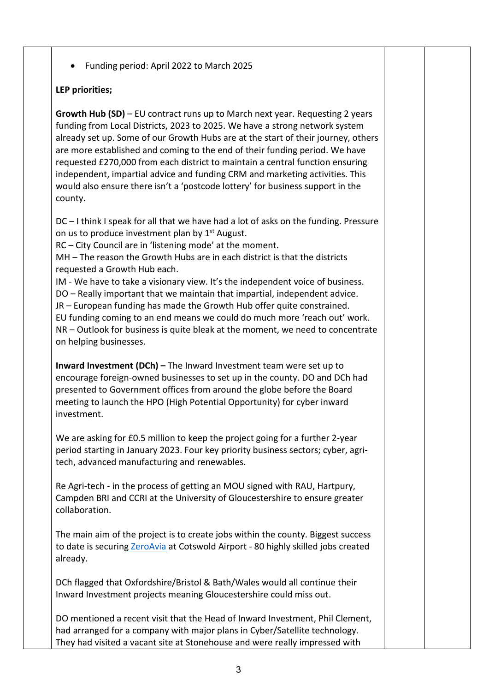• Funding period: April 2022 to March 2025

## **LEP priorities;**

**Growth Hub (SD)** – EU contract runs up to March next year. Requesting 2 years funding from Local Districts, 2023 to 2025. We have a strong network system already set up. Some of our Growth Hubs are at the start of their journey, others are more established and coming to the end of their funding period. We have requested £270,000 from each district to maintain a central function ensuring independent, impartial advice and funding CRM and marketing activities. This would also ensure there isn't a 'postcode lottery' for business support in the county.

DC – I think I speak for all that we have had a lot of asks on the funding. Pressure on us to produce investment plan by  $1<sup>st</sup>$  August.

RC – City Council are in 'listening mode' at the moment.

MH – The reason the Growth Hubs are in each district is that the districts requested a Growth Hub each.

IM - We have to take a visionary view. It's the independent voice of business. DO – Really important that we maintain that impartial, independent advice. JR – European funding has made the Growth Hub offer quite constrained. EU funding coming to an end means we could do much more 'reach out' work. NR – Outlook for business is quite bleak at the moment, we need to concentrate on helping businesses.

**Inward Investment (DCh) –** The Inward Investment team were set up to encourage foreign-owned businesses to set up in the county. DO and DCh had presented to Government offices from around the globe before the Board meeting to launch the HPO (High Potential Opportunity) for cyber inward investment.

We are asking for £0.5 million to keep the project going for a further 2-year period starting in January 2023. Four key priority business sectors; cyber, agritech, advanced manufacturing and renewables.

Re Agri-tech - in the process of getting an MOU signed with RAU, Hartpury, Campden BRI and CCRI at the University of Gloucestershire to ensure greater collaboration.

The main aim of the project is to create jobs within the county. Biggest success to date is securing [ZeroAvia](https://www.zeroavia.com/) at Cotswold Airport - 80 highly skilled jobs created already.

DCh flagged that Oxfordshire/Bristol & Bath/Wales would all continue their Inward Investment projects meaning Gloucestershire could miss out.

DO mentioned a recent visit that the Head of Inward Investment, Phil Clement, had arranged for a company with major plans in Cyber/Satellite technology. They had visited a vacant site at Stonehouse and were really impressed with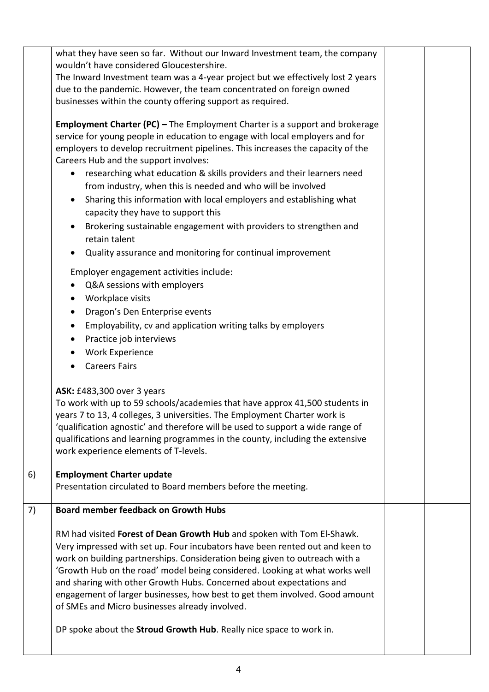|    | what they have seen so far. Without our Inward Investment team, the company<br>wouldn't have considered Gloucestershire.<br>The Inward Investment team was a 4-year project but we effectively lost 2 years<br>due to the pandemic. However, the team concentrated on foreign owned<br>businesses within the county offering support as required.<br><b>Employment Charter (PC) - The Employment Charter is a support and brokerage</b><br>service for young people in education to engage with local employers and for<br>employers to develop recruitment pipelines. This increases the capacity of the<br>Careers Hub and the support involves:<br>researching what education & skills providers and their learners need<br>$\bullet$<br>from industry, when this is needed and who will be involved<br>Sharing this information with local employers and establishing what<br>capacity they have to support this |  |  |
|----|----------------------------------------------------------------------------------------------------------------------------------------------------------------------------------------------------------------------------------------------------------------------------------------------------------------------------------------------------------------------------------------------------------------------------------------------------------------------------------------------------------------------------------------------------------------------------------------------------------------------------------------------------------------------------------------------------------------------------------------------------------------------------------------------------------------------------------------------------------------------------------------------------------------------|--|--|
|    | Brokering sustainable engagement with providers to strengthen and<br>retain talent<br>Quality assurance and monitoring for continual improvement<br>$\bullet$                                                                                                                                                                                                                                                                                                                                                                                                                                                                                                                                                                                                                                                                                                                                                        |  |  |
|    | Employer engagement activities include:<br>Q&A sessions with employers<br>Workplace visits<br>$\bullet$<br>Dragon's Den Enterprise events<br>$\bullet$<br>Employability, cv and application writing talks by employers<br>$\bullet$<br>Practice job interviews<br>$\bullet$<br><b>Work Experience</b><br><b>Careers Fairs</b><br>$\bullet$<br>ASK: £483,300 over 3 years                                                                                                                                                                                                                                                                                                                                                                                                                                                                                                                                             |  |  |
|    | To work with up to 59 schools/academies that have approx 41,500 students in<br>years 7 to 13, 4 colleges, 3 universities. The Employment Charter work is<br>'qualification agnostic' and therefore will be used to support a wide range of<br>qualifications and learning programmes in the county, including the extensive<br>work experience elements of T-levels.                                                                                                                                                                                                                                                                                                                                                                                                                                                                                                                                                 |  |  |
| 6) | <b>Employment Charter update</b><br>Presentation circulated to Board members before the meeting.                                                                                                                                                                                                                                                                                                                                                                                                                                                                                                                                                                                                                                                                                                                                                                                                                     |  |  |
| 7) | <b>Board member feedback on Growth Hubs</b>                                                                                                                                                                                                                                                                                                                                                                                                                                                                                                                                                                                                                                                                                                                                                                                                                                                                          |  |  |
|    | RM had visited Forest of Dean Growth Hub and spoken with Tom El-Shawk.<br>Very impressed with set up. Four incubators have been rented out and keen to<br>work on building partnerships. Consideration being given to outreach with a<br>'Growth Hub on the road' model being considered. Looking at what works well<br>and sharing with other Growth Hubs. Concerned about expectations and<br>engagement of larger businesses, how best to get them involved. Good amount<br>of SMEs and Micro businesses already involved.<br>DP spoke about the Stroud Growth Hub. Really nice space to work in.                                                                                                                                                                                                                                                                                                                 |  |  |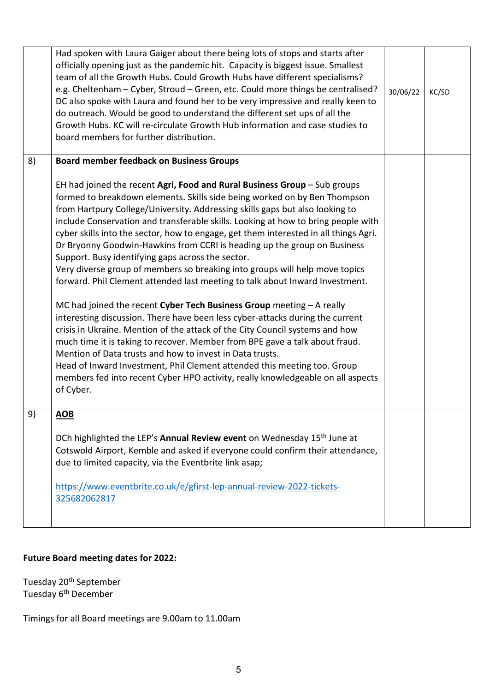|    | Had spoken with Laura Gaiger about there being lots of stops and starts after<br>officially opening just as the pandemic hit. Capacity is biggest issue. Smallest<br>team of all the Growth Hubs. Could Growth Hubs have different specialisms?<br>e.g. Cheltenham - Cyber, Stroud - Green, etc. Could more things be centralised?<br>DC also spoke with Laura and found her to be very impressive and really keen to<br>do outreach. Would be good to understand the different set ups of all the<br>Growth Hubs. KC will re-circulate Growth Hub information and case studies to<br>board members for further distribution.                                                                                                                                                                                                                                                                                                                                                                                                                                                                                                                                                                                                                                                                                                           | 30/06/22 | KC/SD |
|----|-----------------------------------------------------------------------------------------------------------------------------------------------------------------------------------------------------------------------------------------------------------------------------------------------------------------------------------------------------------------------------------------------------------------------------------------------------------------------------------------------------------------------------------------------------------------------------------------------------------------------------------------------------------------------------------------------------------------------------------------------------------------------------------------------------------------------------------------------------------------------------------------------------------------------------------------------------------------------------------------------------------------------------------------------------------------------------------------------------------------------------------------------------------------------------------------------------------------------------------------------------------------------------------------------------------------------------------------|----------|-------|
| 8) | <b>Board member feedback on Business Groups</b><br>EH had joined the recent Agri, Food and Rural Business Group - Sub groups<br>formed to breakdown elements. Skills side being worked on by Ben Thompson<br>from Hartpury College/University. Addressing skills gaps but also looking to<br>include Conservation and transferable skills. Looking at how to bring people with<br>cyber skills into the sector, how to engage, get them interested in all things Agri.<br>Dr Bryonny Goodwin-Hawkins from CCRI is heading up the group on Business<br>Support. Busy identifying gaps across the sector.<br>Very diverse group of members so breaking into groups will help move topics<br>forward. Phil Clement attended last meeting to talk about Inward Investment.<br>MC had joined the recent Cyber Tech Business Group meeting - A really<br>interesting discussion. There have been less cyber-attacks during the current<br>crisis in Ukraine. Mention of the attack of the City Council systems and how<br>much time it is taking to recover. Member from BPE gave a talk about fraud.<br>Mention of Data trusts and how to invest in Data trusts.<br>Head of Inward Investment, Phil Clement attended this meeting too. Group<br>members fed into recent Cyber HPO activity, really knowledgeable on all aspects<br>of Cyber. |          |       |
| 9) | <b>AOB</b><br>DCh highlighted the LEP's Annual Review event on Wednesday 15 <sup>th</sup> June at<br>Cotswold Airport, Kemble and asked if everyone could confirm their attendance,<br>due to limited capacity, via the Eventbrite link asap;<br>https://www.eventbrite.co.uk/e/gfirst-lep-annual-review-2022-tickets-<br>325682062817                                                                                                                                                                                                                                                                                                                                                                                                                                                                                                                                                                                                                                                                                                                                                                                                                                                                                                                                                                                                  |          |       |

## **Future Board meeting dates for 2022:**

Tuesday 20<sup>th</sup> September Tuesday 6<sup>th</sup> December

Timings for all Board meetings are 9.00am to 11.00am